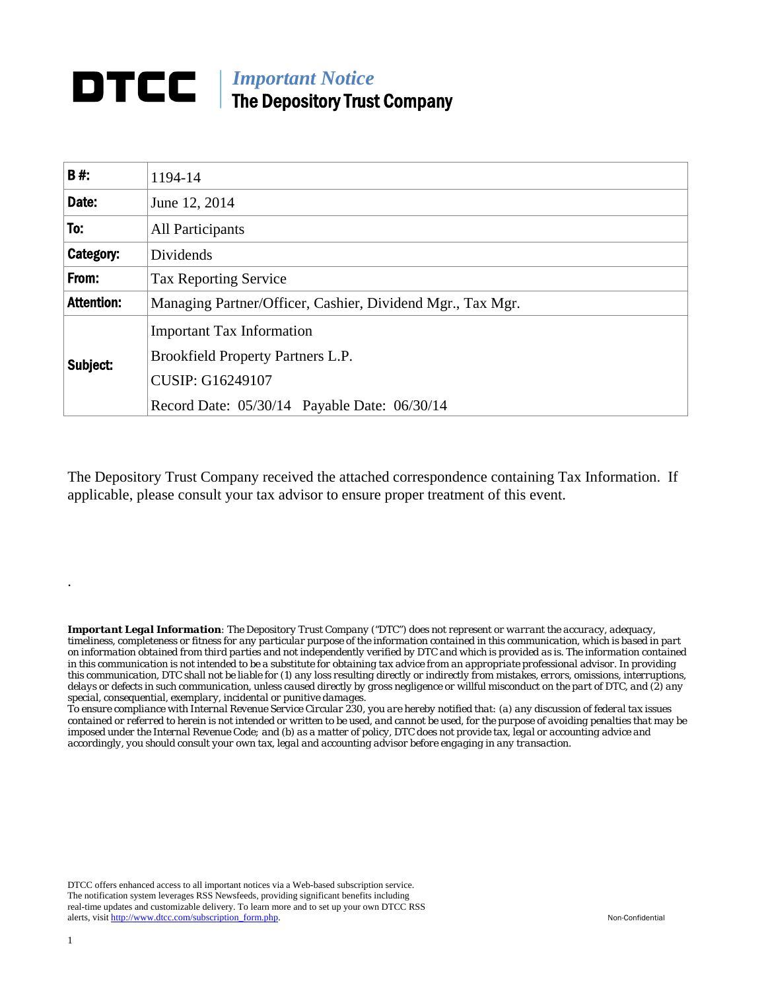## *Important Notice*  The Depository Trust Company

| <b>B#:</b>        | 1194-14                                                    |  |  |  |  |
|-------------------|------------------------------------------------------------|--|--|--|--|
| Date:             | June 12, 2014                                              |  |  |  |  |
| To:               | <b>All Participants</b>                                    |  |  |  |  |
| Category:         | Dividends                                                  |  |  |  |  |
| From:             | <b>Tax Reporting Service</b>                               |  |  |  |  |
| <b>Attention:</b> | Managing Partner/Officer, Cashier, Dividend Mgr., Tax Mgr. |  |  |  |  |
| Subject:          | <b>Important Tax Information</b>                           |  |  |  |  |
|                   | Brookfield Property Partners L.P.                          |  |  |  |  |
|                   | <b>CUSIP: G16249107</b>                                    |  |  |  |  |
|                   | Record Date: 05/30/14 Payable Date: 06/30/14               |  |  |  |  |

The Depository Trust Company received the attached correspondence containing Tax Information. If applicable, please consult your tax advisor to ensure proper treatment of this event.

*Important Legal Information: The Depository Trust Company ("DTC") does not represent or warrant the accuracy, adequacy, timeliness, completeness or fitness for any particular purpose of the information contained in this communication, which is based in part on information obtained from third parties and not independently verified by DTC and which is provided as is. The information contained in this communication is not intended to be a substitute for obtaining tax advice from an appropriate professional advisor. In providing this communication, DTC shall not be liable for (1) any loss resulting directly or indirectly from mistakes, errors, omissions, interruptions, delays or defects in such communication, unless caused directly by gross negligence or willful misconduct on the part of DTC, and (2) any special, consequential, exemplary, incidental or punitive damages.* 

*To ensure compliance with Internal Revenue Service Circular 230, you are hereby notified that: (a) any discussion of federal tax issues contained or referred to herein is not intended or written to be used, and cannot be used, for the purpose of avoiding penalties that may be imposed under the Internal Revenue Code; and (b) as a matter of policy, DTC does not provide tax, legal or accounting advice and accordingly, you should consult your own tax, legal and accounting advisor before engaging in any transaction.*

DTCC offers enhanced access to all important notices via a Web-based subscription service. The notification system leverages RSS Newsfeeds, providing significant benefits including real-time updates and customizable delivery. To learn more and to set up your own DTCC RSS alerts, visit http://www.dtcc.com/subscription\_form.php. Non-Confidential

.